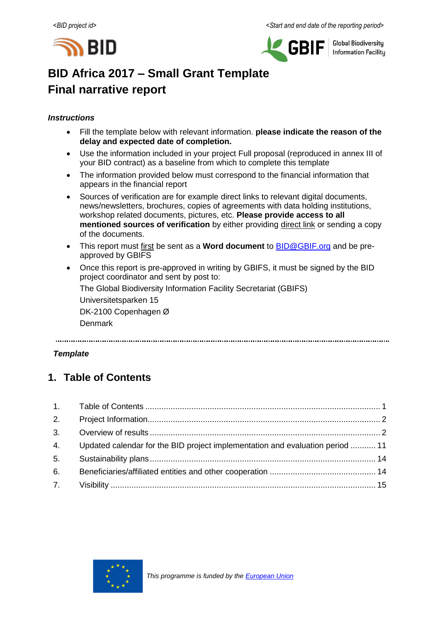



**Global Biodiversity Information Facility** 

# **BID Africa 2017 – Small Grant Template Final narrative report**

## *Instructions*

- Fill the template below with relevant information. **please indicate the reason of the delay and expected date of completion.**
- Use the information included in your project Full proposal (reproduced in annex III of your BID contract) as a baseline from which to complete this template
- The information provided below must correspond to the financial information that appears in the financial report
- Sources of verification are for example direct links to relevant digital documents, news/newsletters, brochures, copies of agreements with data holding institutions, workshop related documents, pictures, etc. **Please provide access to all mentioned sources of verification** by either providing direct link or sending a copy of the documents.
- This report must first be sent as a **Word document** to **BID@GBIF.org** and be preapproved by GBIFS
- Once this report is pre-approved in writing by GBIFS, it must be signed by the BID project coordinator and sent by post to:

The Global Biodiversity Information Facility Secretariat (GBIFS)

Universitetsparken 15 DK-2100 Copenhagen Ø

Denmark

## *Template*

## <span id="page-0-0"></span>**1. Table of Contents**

|    | 4. Updated calendar for the BID project implementation and evaluation period  11 |  |
|----|----------------------------------------------------------------------------------|--|
| 5. |                                                                                  |  |
| 6. |                                                                                  |  |
|    |                                                                                  |  |

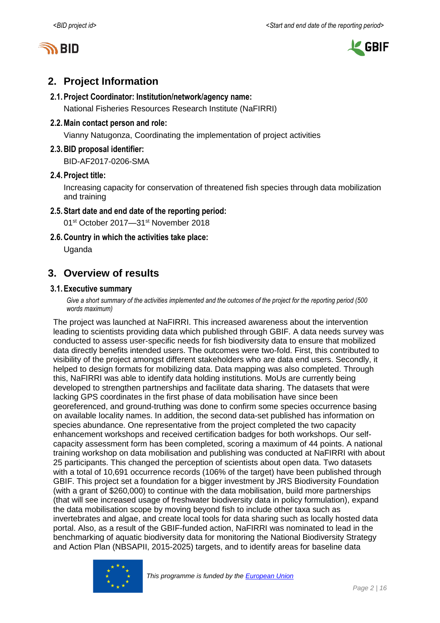



## <span id="page-1-0"></span>**2. Project Information**

### **2.1.Project Coordinator: Institution/network/agency name:**

National Fisheries Resources Research Institute (NaFIRRI)

## **2.2.Main contact person and role:**

Vianny Natugonza, Coordinating the implementation of project activities

## **2.3.BID proposal identifier:**

BID-AF2017-0206-SMA

## **2.4.Project title:**

Increasing capacity for conservation of threatened fish species through data mobilization and training

## **2.5.Start date and end date of the reporting period:**

01st October 2017—31st November 2018

**2.6.Country in which the activities take place:**

Uganda

## <span id="page-1-1"></span>**3. Overview of results**

## **3.1.Executive summary**

Give a short summary of the activities implemented and the outcomes of the project for the reporting period (500 *words maximum)*

The project was launched at NaFIRRI. This increased awareness about the intervention leading to scientists providing data which published through GBIF. A data needs survey was conducted to assess user-specific needs for fish biodiversity data to ensure that mobilized data directly benefits intended users. The outcomes were two-fold. First, this contributed to visibility of the project amongst different stakeholders who are data end users. Secondly, it helped to design formats for mobilizing data. Data mapping was also completed. Through this, NaFIRRI was able to identify data holding institutions. MoUs are currently being developed to strengthen partnerships and facilitate data sharing. The datasets that were lacking GPS coordinates in the first phase of data mobilisation have since been georeferenced, and ground-truthing was done to confirm some species occurrence basing on available locality names. In addition, the second data-set published has information on species abundance. One representative from the project completed the two capacity enhancement workshops and received certification badges for both workshops. Our selfcapacity assessment form has been completed, scoring a maximum of 44 points. A national training workshop on data mobilisation and publishing was conducted at NaFIRRI with about 25 participants. This changed the perception of scientists about open data. Two datasets with a total of 10,691 occurrence records (106% of the target) have been published through GBIF. This project set a foundation for a bigger investment by JRS Biodiversity Foundation (with a grant of \$260,000) to continue with the data mobilisation, build more partnerships (that will see increased usage of freshwater biodiversity data in policy formulation), expand the data mobilisation scope by moving beyond fish to include other taxa such as invertebrates and algae, and create local tools for data sharing such as locally hosted data portal. Also, as a result of the GBIF-funded action, NaFIRRI was nominated to lead in the benchmarking of aquatic biodiversity data for monitoring the National Biodiversity Strategy and Action Plan (NBSAPII, 2015-2025) targets, and to identify areas for baseline data

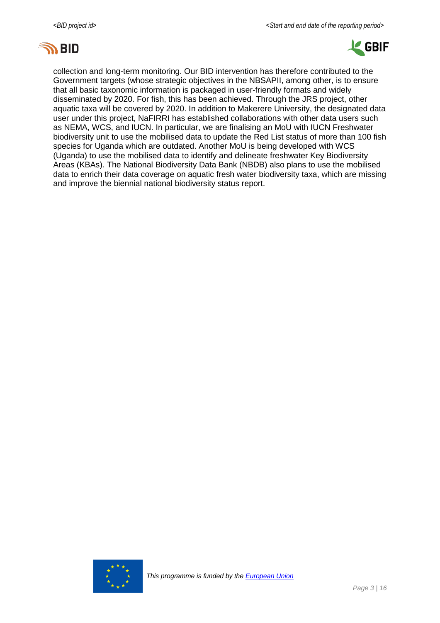



collection and long-term monitoring. Our BID intervention has therefore contributed to the Government targets (whose strategic objectives in the NBSAPII, among other, is to ensure that all basic taxonomic information is packaged in user-friendly formats and widely disseminated by 2020. For fish, this has been achieved. Through the JRS project, other aquatic taxa will be covered by 2020. In addition to Makerere University, the designated data user under this project, NaFIRRI has established collaborations with other data users such as NEMA, WCS, and IUCN. In particular, we are finalising an MoU with IUCN Freshwater biodiversity unit to use the mobilised data to update the Red List status of more than 100 fish species for Uganda which are outdated. Another MoU is being developed with WCS (Uganda) to use the mobilised data to identify and delineate freshwater Key Biodiversity Areas (KBAs). The National Biodiversity Data Bank (NBDB) also plans to use the mobilised data to enrich their data coverage on aquatic fresh water biodiversity taxa, which are missing and improve the biennial national biodiversity status report.

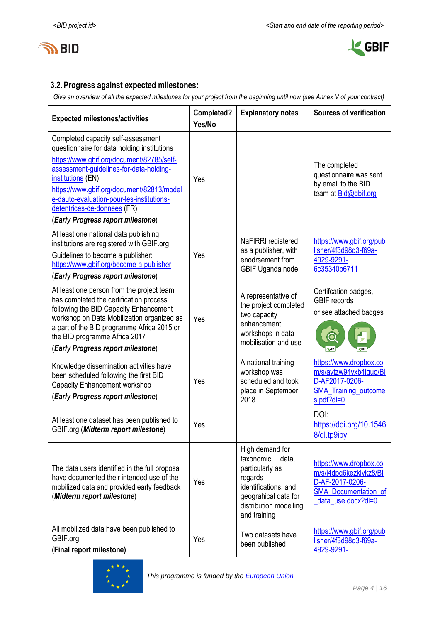



## **3.2.Progress against expected milestones:**

*Give an overview of all the expected milestones for your project from the beginning until now (see Annex V of your contract)*

| <b>Expected milestones/activities</b>                                                                                                                                                                                                                                                                                                                        | Completed?<br>Yes/No | <b>Explanatory notes</b>                                                                                                                                      | <b>Sources of verification</b>                                                                                           |
|--------------------------------------------------------------------------------------------------------------------------------------------------------------------------------------------------------------------------------------------------------------------------------------------------------------------------------------------------------------|----------------------|---------------------------------------------------------------------------------------------------------------------------------------------------------------|--------------------------------------------------------------------------------------------------------------------------|
| Completed capacity self-assessment<br>questionnaire for data holding institutions<br>https://www.gbif.org/document/82785/self-<br>assessment-guidelines-for-data-holding-<br>institutions (EN)<br>https://www.gbif.org/document/82813/model<br>e-dauto-evaluation-pour-les-institutions-<br>detentrices-de-donnees (FR)<br>(Early Progress report milestone) | Yes                  |                                                                                                                                                               | The completed<br>questionnaire was sent<br>by email to the BID<br>team at Bid@gbif.org                                   |
| At least one national data publishing<br>institutions are registered with GBIF.org<br>Guidelines to become a publisher:<br>https://www.gbif.org/become-a-publisher<br>(Early Progress report milestone)                                                                                                                                                      | Yes                  | NaFIRRI registered<br>as a publisher, with<br>enodrsement from<br>GBIF Uganda node                                                                            | https://www.gbif.org/pub<br>lisher/4f3d98d3-f69a-<br>4929-9291-<br>6c35340b6711                                          |
| At least one person from the project team<br>has completed the certification process<br>following the BID Capacity Enhancement<br>workshop on Data Mobilization organized as<br>a part of the BID programme Africa 2015 or<br>the BID programme Africa 2017<br>(Early Progress report milestone)                                                             | Yes                  | A representative of<br>the project completed<br>two capacity<br>enhancement<br>workshops in data<br>mobilisation and use                                      | Certifcation badges,<br><b>GBIF</b> records<br>or see attached badges<br>$\bullet$                                       |
| Knowledge dissemination activities have<br>been scheduled following the first BID<br>Capacity Enhancement workshop<br>(Early Progress report milestone)                                                                                                                                                                                                      | Yes                  | A national training<br>workshop was<br>scheduled and took<br>place in September<br>2018                                                                       | https://www.dropbox.co<br>m/s/avtzw94vxb4iguo/BI<br>D-AF2017-0206-<br><b>SMA Training outcome</b><br>s.pdf?dl=0          |
| At least one dataset has been published to<br>GBIF.org (Midterm report milestone)                                                                                                                                                                                                                                                                            | Yes                  |                                                                                                                                                               | DOI:<br>https://doi.org/10.1546<br>8/dl.tp9ipy                                                                           |
| The data users identified in the full proposal<br>have documented their intended use of the<br>mobilized data and provided early feedback<br>(Midterm report milestone)                                                                                                                                                                                      | Yes                  | High demand for<br>taxonomic<br>data,<br>particularly as<br>regards<br>identifications, and<br>geograhical data for<br>distribution modelling<br>and training | https://www.dropbox.co<br>m/s/i4dpq6kezklykz8/BI<br>D-AF-2017-0206-<br><b>SMA_Documentation of</b><br>data_use.docx?dl=0 |
| All mobilized data have been published to<br>GBIF.org<br>(Final report milestone)                                                                                                                                                                                                                                                                            | Yes                  | Two datasets have<br>been published                                                                                                                           | https://www.gbif.org/pub<br>lisher/4f3d98d3-f69a-<br>4929-9291-                                                          |

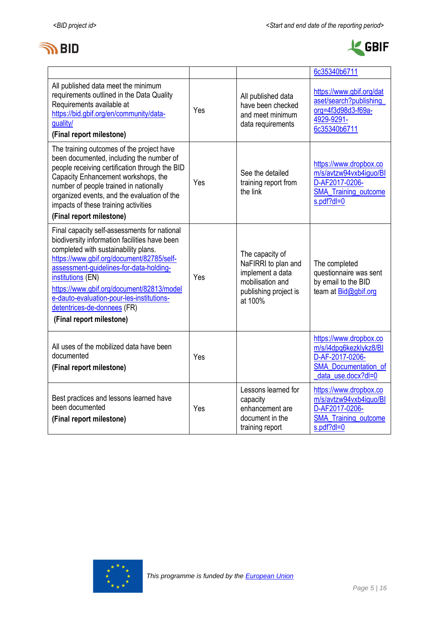



|                                                                                                                                                                                                                                                                                                                                                                                                         |     |                                                                                                                    | 6c35340b6711                                                                                                             |
|---------------------------------------------------------------------------------------------------------------------------------------------------------------------------------------------------------------------------------------------------------------------------------------------------------------------------------------------------------------------------------------------------------|-----|--------------------------------------------------------------------------------------------------------------------|--------------------------------------------------------------------------------------------------------------------------|
| All published data meet the minimum<br>requirements outlined in the Data Quality<br>Requirements available at<br>https://bid.gbif.org/en/community/data-<br>quality/<br>(Final report milestone)                                                                                                                                                                                                        | Yes | All published data<br>have been checked<br>and meet minimum<br>data requirements                                   | https://www.gbif.org/dat<br>aset/search?publishing<br>org=4f3d98d3-f69a-<br>4929-9291-<br>6c35340b6711                   |
| The training outcomes of the project have<br>been documented, including the number of<br>people receiving certification through the BID<br>Capacity Enhancement workshops, the<br>number of people trained in nationally<br>organized events, and the evaluation of the<br>impacts of these training activities                                                                                         | Yes | See the detailed<br>training report from<br>the link                                                               | https://www.dropbox.co<br>m/s/avtzw94vxb4iguo/BI<br>D-AF2017-0206-<br><b>SMA_Training_outcome</b><br>s.pdf?dl=0          |
| (Final report milestone)                                                                                                                                                                                                                                                                                                                                                                                |     |                                                                                                                    |                                                                                                                          |
| Final capacity self-assessments for national<br>biodiversity information facilities have been<br>completed with sustainability plans.<br>https://www.gbif.org/document/82785/self-<br>assessment-quidelines-for-data-holding-<br>institutions (EN)<br>https://www.gbif.org/document/82813/model<br>e-dauto-evaluation-pour-les-institutions-<br>detentrices-de-donnees (FR)<br>(Final report milestone) | Yes | The capacity of<br>NaFIRRI to plan and<br>implement a data<br>mobilisation and<br>publishing project is<br>at 100% | The completed<br>questionnaire was sent<br>by email to the BID<br>team at Bid@gbif.org                                   |
| All uses of the mobilized data have been<br>documented<br>(Final report milestone)                                                                                                                                                                                                                                                                                                                      | Yes |                                                                                                                    | https://www.dropbox.co<br>m/s/i4dpq6kezklykz8/Bl<br>D-AF-2017-0206-<br><b>SMA Documentation of</b><br>data use.docx?dl=0 |
| Best practices and lessons learned have<br>been documented<br>(Final report milestone)                                                                                                                                                                                                                                                                                                                  | Yes | Lessons learned for<br>capacity<br>enhancement are<br>document in the<br>training report                           | https://www.dropbox.co<br>m/s/avtzw94vxb4iguo/BI<br>D-AF2017-0206-<br><b>SMA Training outcome</b><br>$s.pdf?dl=0$        |

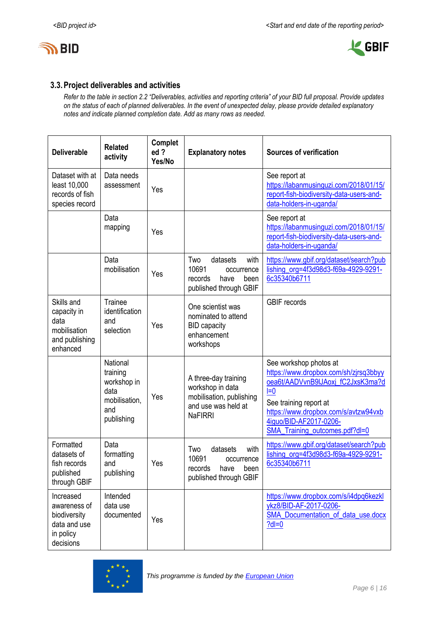



## **3.3.Project deliverables and activities**

*Refer to the table in section 2.2 "Deliverables, activities and reporting criteria" of your BID full proposal. Provide updates on the status of each of planned deliverables. In the event of unexpected delay, please provide detailed explanatory notes and indicate planned completion date. Add as many rows as needed.*

| <b>Deliverable</b>                                                                  | <b>Related</b><br>activity                                                        | Complet<br>ed?<br>Yes/No | <b>Explanatory notes</b>                                                                                      | <b>Sources of verification</b>                                                                                                                                                                                                              |
|-------------------------------------------------------------------------------------|-----------------------------------------------------------------------------------|--------------------------|---------------------------------------------------------------------------------------------------------------|---------------------------------------------------------------------------------------------------------------------------------------------------------------------------------------------------------------------------------------------|
| Dataset with at<br>least 10,000<br>records of fish<br>species record                | Data needs<br>assessment                                                          | Yes                      |                                                                                                               | See report at<br>https://labanmusinguzi.com/2018/01/15/<br>report-fish-biodiversity-data-users-and-<br>data-holders-in-uganda/                                                                                                              |
|                                                                                     | Data<br>mapping                                                                   | Yes                      |                                                                                                               | See report at<br>https://labanmusinguzi.com/2018/01/15/<br>report-fish-biodiversity-data-users-and-<br>data-holders-in-uganda/                                                                                                              |
|                                                                                     | Data<br>mobilisation                                                              | Yes                      | Two<br>datasets<br>with<br>10691<br>occurrence<br>records<br>have<br>been<br>published through GBIF           | https://www.gbif.org/dataset/search?pub<br>lishing_org=4f3d98d3-f69a-4929-9291-<br>6c35340b6711                                                                                                                                             |
| Skills and<br>capacity in<br>data<br>mobilisation<br>and publishing<br>enhanced     | <b>Trainee</b><br>identification<br>and<br>selection                              | Yes                      | One scientist was<br>nominated to attend<br><b>BID capacity</b><br>enhancement<br>workshops                   | <b>GBIF</b> records                                                                                                                                                                                                                         |
|                                                                                     | National<br>training<br>workshop in<br>data<br>mobilisation,<br>and<br>publishing | Yes                      | A three-day training<br>workshop in data<br>mobilisation, publishing<br>and use was held at<br><b>NaFIRRI</b> | See workshop photos at<br>https://www.dropbox.com/sh/zjrsq3bbyy<br>oea6t/AADVvnB9lJAoxj fC2JxsK3ma?d<br>$I=0$<br>See training report at<br>https://www.dropbox.com/s/avtzw94vxb<br>4iguo/BID-AF2017-0206-<br>SMA_Training_outcomes.pdf?dl=0 |
| Formatted<br>datasets of<br>fish records<br>published<br>through GBIF               | Data<br>formatting<br>and<br>publishing                                           | Yes                      | Two<br>datasets<br>with<br>10691<br>occurrence<br>records have<br>been<br>published through GBIF              | https://www.gbif.org/dataset/search?pub<br>lishing org=4f3d98d3-f69a-4929-9291-<br>6c35340b6711                                                                                                                                             |
| Increased<br>awareness of<br>biodiversity<br>data and use<br>in policy<br>decisions | Intended<br>data use<br>documented                                                | Yes                      |                                                                                                               | https://www.dropbox.com/s/i4dpq6kezkl<br>ykz8/BID-AF-2017-0206-<br>SMA_Documentation_of_data_use.docx<br>$?$ dl=0                                                                                                                           |

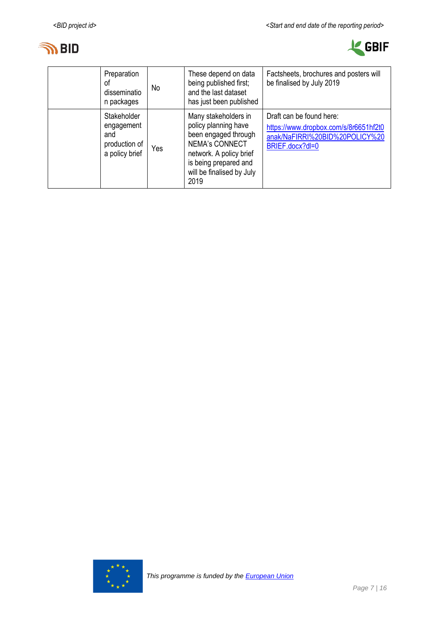



| Preparation<br>0t<br>disseminatio<br>n packages                     | No  | These depend on data<br>being published first;<br>and the last dataset<br>has just been published                                                                                      | Factsheets, brochures and posters will<br>be finalised by July 2019                                                    |
|---------------------------------------------------------------------|-----|----------------------------------------------------------------------------------------------------------------------------------------------------------------------------------------|------------------------------------------------------------------------------------------------------------------------|
| Stakeholder<br>engagement<br>and<br>production of<br>a policy brief | Yes | Many stakeholders in<br>policy planning have<br>been engaged through<br><b>NEMA's CONNECT</b><br>network. A policy brief<br>is being prepared and<br>will be finalised by July<br>2019 | Draft can be found here:<br>https://www.dropbox.com/s/8r6651hf2t0<br>anak/NaFIRRI%20BID%20POLICY%20<br>BRIEF.docx?dl=0 |

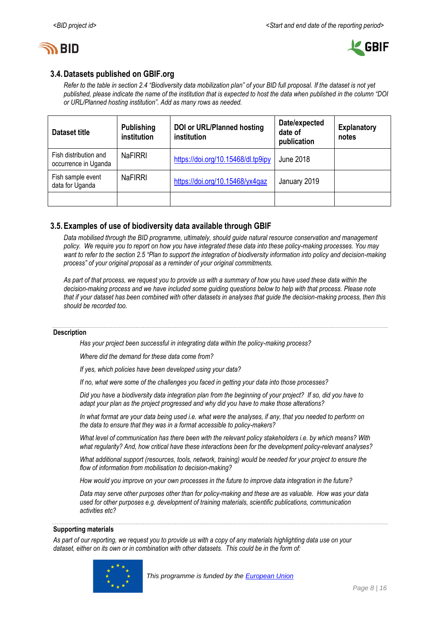



## **3.4.Datasets published on GBIF.org**

*Refer to the table in section 2.4 "Biodiversity data mobilization plan" of your BID full proposal. If the dataset is not yet published, please indicate the name of the institution that is expected to host the data when published in the column "DOI or URL/Planned hosting institution". Add as many rows as needed.*

| Dataset title                                 | <b>Publishing</b><br><i>institution</i> | <b>DOI or URL/Planned hosting</b><br>institution | Date/expected<br>date of<br>publication | <b>Explanatory</b><br>notes |
|-----------------------------------------------|-----------------------------------------|--------------------------------------------------|-----------------------------------------|-----------------------------|
| Fish distribution and<br>occurrence in Uganda | <b>NaFIRRI</b>                          | https://doi.org/10.15468/dl.tp9ipy               | June 2018                               |                             |
| Fish sample event<br>data for Uganda          | <b>NaFIRRI</b>                          | https://doi.org/10.15468/yx4gaz                  | January 2019                            |                             |
|                                               |                                         |                                                  |                                         |                             |

## **3.5.Examples of use of biodiversity data available through GBIF**

*Data mobilised through the BID programme, ultimately, should guide natural resource conservation and management policy. We require you to report on how you have integrated these data into these policy-making processes. You may*  want to refer to the section 2.5 "Plan to support the integration of biodiversity information into policy and decision-making *process" of your original proposal as a reminder of your original commitments.* 

*As part of that process, we request you to provide us with a summary of how you have used these data within the decision-making process and we have included some guiding questions below to help with that process. Please note that if your dataset has been combined with other datasets in analyses that guide the decision-making process, then this should be recorded too.* 

#### **Description**

*Has your project been successful in integrating data within the policy-making process?* 

*Where did the demand for these data come from?* 

*If yes, which policies have been developed using your data?* 

*If no, what were some of the challenges you faced in getting your data into those processes?*

*Did you have a biodiversity data integration plan from the beginning of your project? If so, did you have to adapt your plan as the project progressed and why did you have to make those alterations?* 

*In what format are your data being used i.e. what were the analyses, if any, that you needed to perform on the data to ensure that they was in a format accessible to policy-makers?* 

*What level of communication has there been with the relevant policy stakeholders i.e. by which means? With what regularity? And, how critical have these interactions been for the development policy-relevant analyses?* 

*What additional support (resources, tools, network, training) would be needed for your project to ensure the flow of information from mobilisation to decision-making?* 

*How would you improve on your own processes in the future to improve data integration in the future?* 

*Data may serve other purposes other than for policy-making and these are as valuable. How was your data used for other purposes e.g. development of training materials, scientific publications, communication activities etc?*

#### **Supporting materials**

*As part of our reporting, we request you to provide us with a copy of any materials highlighting data use on your dataset, either on its own or in combination with other datasets. This could be in the form of:*

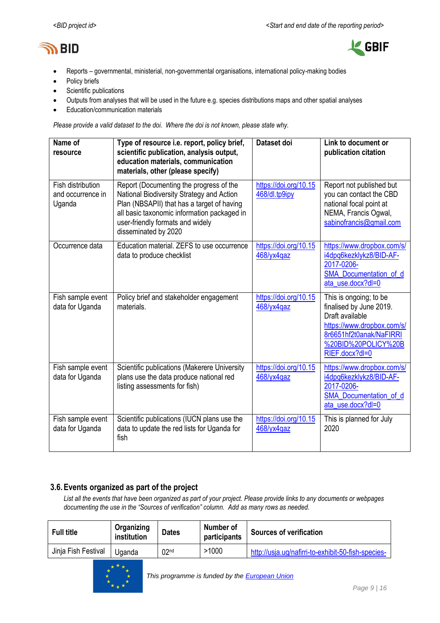



- Reports governmental, ministerial, non-governmental organisations, international policy-making bodies
- Policy briefs
- Scientific publications
- Outputs from analyses that will be used in the future e.g. species distributions maps and other spatial analyses
- Education/communication materials

*Please provide a valid dataset to the doi. Where the doi is not known, please state why.*

| Name of<br>resource                              | Type of resource i.e. report, policy brief,<br>scientific publication, analysis output,<br>education materials, communication<br>materials, other (please specify)                                                                            | Dataset doi                               | Link to document or<br>publication citation                                                                                                                            |
|--------------------------------------------------|-----------------------------------------------------------------------------------------------------------------------------------------------------------------------------------------------------------------------------------------------|-------------------------------------------|------------------------------------------------------------------------------------------------------------------------------------------------------------------------|
| Fish distribution<br>and occurrence in<br>Uganda | Report (Documenting the progress of the<br>National Biodiversity Strategy and Action<br>Plan (NBSAPII) that has a target of having<br>all basic taxonomic information packaged in<br>user-friendly formats and widely<br>disseminated by 2020 | https://doi.org/10.15<br>468/dl.tp9ipy    | Report not published but<br>you can contact the CBD<br>national focal point at<br>NEMA, Francis Ogwal,<br>sabinofrancis@gmail.com                                      |
| Occurrence data                                  | Education material. ZEFS to use occurrence<br>data to produce checklist                                                                                                                                                                       | https://doi.org/10.15<br>468/yx4qaz       | https://www.dropbox.com/s/<br>i4dpq6kezklykz8/BID-AF-<br>2017-0206-<br>SMA Documentation of d<br>ata use.docx?dl=0                                                     |
| Fish sample event<br>data for Uganda             | Policy brief and stakeholder engagement<br>materials.                                                                                                                                                                                         | https://doi.org/10.15<br>468/yx4qaz       | This is ongoing; to be<br>finalised by June 2019.<br>Draft available<br>https://www.dropbox.com/s/<br>8r6651hf2t0anak/NaFIRRI<br>%20BID%20POLICY%20B<br>RIEF.docx?dl=0 |
| Fish sample event<br>data for Uganda             | Scientific publications (Makerere University<br>plans use the data produce national red<br>listing assessments for fish)                                                                                                                      | https://doi.org/10.15<br>468/yx4qaz       | https://www.dropbox.com/s/<br>i4dpq6kezklykz8/BID-AF-<br>2017-0206-<br><b>SMA Documentation of d</b><br>ata_use.docx?dl=0                                              |
| Fish sample event<br>data for Uganda             | Scientific publications (IUCN plans use the<br>data to update the red lists for Uganda for<br>fish                                                                                                                                            | https://doi.org/10.15<br>$468$ /yx $4qaz$ | This is planned for July<br>2020                                                                                                                                       |

## **3.6.Events organized as part of the project**

*List all the events that have been organized as part of your project. Please provide links to any documents or webpages documenting the use in the "Sources of verification" column. Add as many rows as needed.*

| <b>Full title</b>   | Organizing<br>institution | <b>Dates</b>     | Number of<br>participants | <b>Sources of verification</b>                     |
|---------------------|---------------------------|------------------|---------------------------|----------------------------------------------------|
| Jinja Fish Festival | <b>J</b> ganda            | 02 <sub>nd</sub> | >1000                     | http://usja.ug/nafirri-to-exhibit-50-fish-species- |

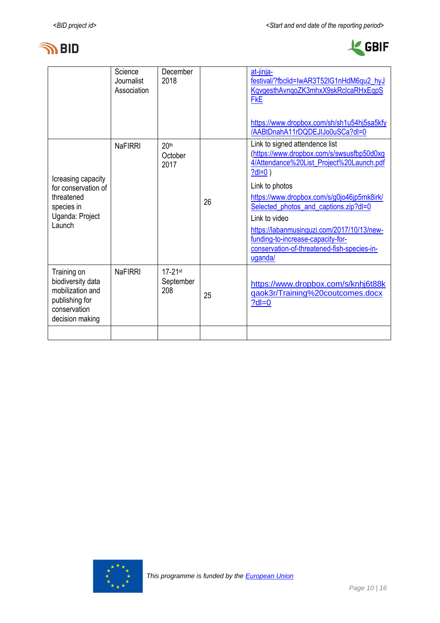



| Science<br>Journalist<br>Association | December<br>2018                    |    | at-jinja-<br>festival/?fbclid=IwAR3T52IG1nHdM6qu2_hyJ<br>KgygesthAvngoZK3mhxX9skRclcaRHxEgpS<br><b>FkE</b><br>https://www.dropbox.com/sh/sh1u54hj5sa5kfy<br>/AABtDnahA11rDQDEJIJo0uSCa?dl=0                                                                                                                                                                                                                |
|--------------------------------------|-------------------------------------|----|------------------------------------------------------------------------------------------------------------------------------------------------------------------------------------------------------------------------------------------------------------------------------------------------------------------------------------------------------------------------------------------------------------|
| <b>NaFIRRI</b>                       | 20 <sup>th</sup><br>October<br>2017 | 26 | Link to signed attendence list<br>(https://www.dropbox.com/s/swsusfbp50d0xg<br>4/Attendance%20List_Project%20Launch.pdf<br>$?dl=0)$<br>Link to photos<br>https://www.dropbox.com/s/g0jo46jp5mk8irk/<br>Selected_photos_and_captions.zip?dl=0<br>Link to video<br>https://labanmusinguzi.com/2017/10/13/new-<br>funding-to-increase-capacity-for-<br>conservation-of-threatened-fish-species-in-<br>uganda/ |
| <b>NaFIRRI</b>                       | $17 - 21$ st<br>September<br>208    | 25 | https://www.dropbox.com/s/knhj6t88k<br>gaok3r/Training%20coutcomes.docx<br>$?$ dl=0                                                                                                                                                                                                                                                                                                                        |
|                                      |                                     |    |                                                                                                                                                                                                                                                                                                                                                                                                            |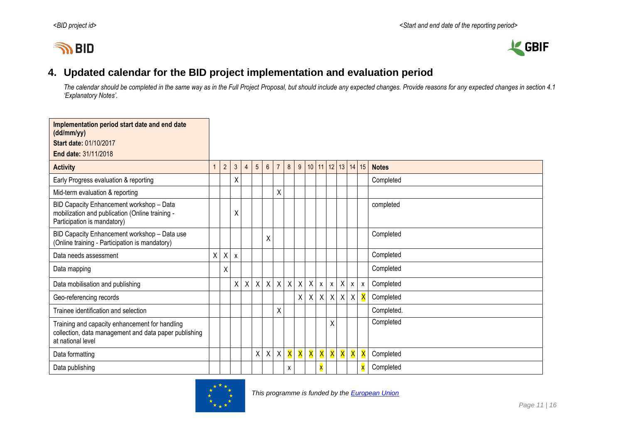# **IN BID**



## **4. Updated calendar for the BID project implementation and evaluation period**

*The calendar should be completed in the same way as in the Full Project Proposal, but should include any expected changes. Provide reasons for any expected changes in section 4.1 'Explanatory Notes'.*

<span id="page-10-0"></span>

| Implementation period start date and end date<br>(dd/mm/yy)                                                                  |   |            |              |                |                 |                |                |              |   |                  |                  |                           |             |          |              |                         |              |
|------------------------------------------------------------------------------------------------------------------------------|---|------------|--------------|----------------|-----------------|----------------|----------------|--------------|---|------------------|------------------|---------------------------|-------------|----------|--------------|-------------------------|--------------|
| <b>Start date: 01/10/2017</b>                                                                                                |   |            |              |                |                 |                |                |              |   |                  |                  |                           |             |          |              |                         |              |
| End date: 31/11/2018                                                                                                         |   |            |              |                |                 |                |                |              |   |                  |                  |                           |             |          |              |                         |              |
| <b>Activity</b>                                                                                                              |   | $\sqrt{2}$ | $\mathbf{3}$ | $\overline{4}$ | $5\phantom{.0}$ | $6\phantom{.}$ | $\overline{7}$ | 8            | 9 |                  | $10$ 11 12       |                           |             | 13 14 15 |              |                         | <b>Notes</b> |
| Early Progress evaluation & reporting                                                                                        |   |            | X            |                |                 |                |                |              |   |                  |                  |                           |             |          |              |                         | Completed    |
| Mid-term evaluation & reporting                                                                                              |   |            |              |                |                 |                | Χ              |              |   |                  |                  |                           |             |          |              |                         |              |
| BID Capacity Enhancement workshop - Data<br>mobilization and publication (Online training -<br>Participation is mandatory)   |   |            | Χ            |                |                 |                |                |              |   |                  |                  |                           |             |          |              |                         | completed    |
| BID Capacity Enhancement workshop - Data use<br>(Online training - Participation is mandatory)                               |   |            |              |                |                 | χ              |                |              |   |                  |                  |                           |             |          |              |                         | Completed    |
| Data needs assessment                                                                                                        | X | X          | $\mathsf{x}$ |                |                 |                |                |              |   |                  |                  |                           |             |          |              |                         | Completed    |
| Data mapping                                                                                                                 |   | Χ          |              |                |                 |                |                |              |   |                  |                  |                           |             |          |              |                         | Completed    |
| Data mobilisation and publishing                                                                                             |   |            | $\mathsf{X}$ | $\sf X$        | $\sf X$         |                | $X$ $X$        | $\mathsf{X}$ | X | $\mathsf{X}$     | $\boldsymbol{x}$ | $\boldsymbol{\mathsf{x}}$ |             | X        | $\mathsf{X}$ | $\mathsf{X}$            | Completed    |
| Geo-referencing records                                                                                                      |   |            |              |                |                 |                |                |              | X | $\boldsymbol{X}$ |                  |                           | $X$ $X$ $X$ |          | $\mathsf{X}$ | $\mathsf{\overline{X}}$ | Completed    |
| Trainee identification and selection                                                                                         |   |            |              |                |                 |                | Χ              |              |   |                  |                  |                           |             |          |              |                         | Completed.   |
| Training and capacity enhancement for handling<br>collection, data management and data paper publishing<br>at national level |   |            |              |                |                 |                |                |              |   |                  |                  | X                         |             |          |              |                         | Completed    |
| Data formatting                                                                                                              |   |            |              |                | Χ               |                | $X$ $X$        | X            | X | X                |                  | <b>X</b> X                |             | X        | X            | $\overline{\mathsf{X}}$ | Completed    |
| Data publishing                                                                                                              |   |            |              |                |                 |                |                | X            |   |                  |                  |                           |             |          |              |                         | Completed    |

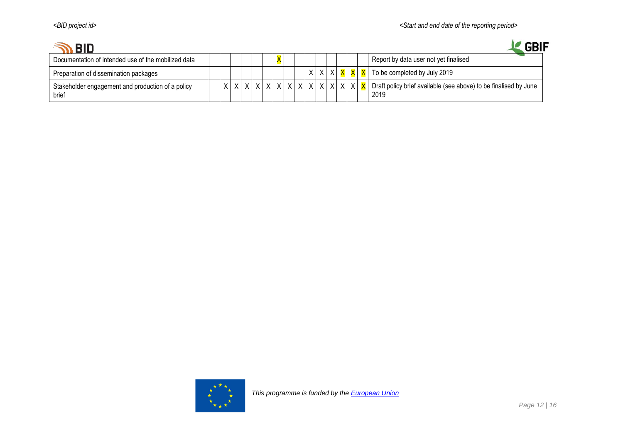| <b>BID</b>                                                 |   |  |         |       |  |                                        |  |  | <b>GBIF</b>                                                              |
|------------------------------------------------------------|---|--|---------|-------|--|----------------------------------------|--|--|--------------------------------------------------------------------------|
| Documentation of intended use of the mobilized data        |   |  |         |       |  |                                        |  |  | Report by data user not yet finalised                                    |
| Preparation of dissemination packages                      |   |  |         |       |  | X X X X X                              |  |  | To be completed by July 2019                                             |
| Stakeholder engagement and production of a policy<br>brief | X |  | $X$ $X$ | V V I |  | $x \mid x \mid x \mid x \mid x \mid x$ |  |  | Draft policy brief available (see above) to be finalised by June<br>2019 |

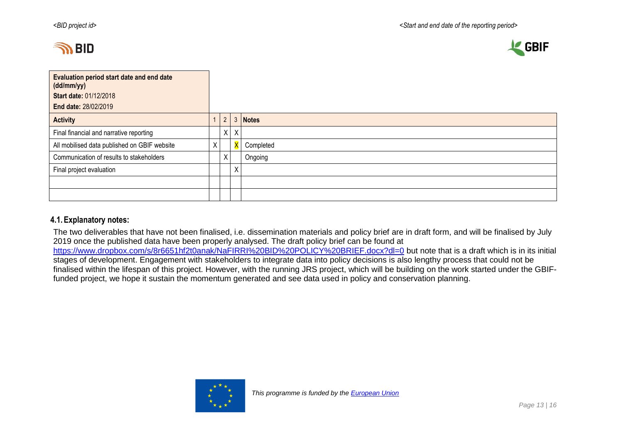



| Evaluation period start date and end date<br>(dd/mm/yy)<br><b>Start date: 01/12/2018</b> |   |                |         |           |
|------------------------------------------------------------------------------------------|---|----------------|---------|-----------|
| End date: 28/02/2019                                                                     |   |                |         |           |
| <b>Activity</b>                                                                          |   | $\overline{2}$ | 3       | Notes     |
| Final financial and narrative reporting                                                  |   |                | $X$ $X$ |           |
| All mobilised data published on GBIF website                                             | Χ |                |         | Completed |
| Communication of results to stakeholders                                                 |   | Χ              |         | Ongoing   |
| Final project evaluation                                                                 |   |                | Χ       |           |
|                                                                                          |   |                |         |           |
|                                                                                          |   |                |         |           |

### **4.1.Explanatory notes:**

The two deliverables that have not been finalised, i.e. dissemination materials and policy brief are in draft form, and will be finalised by July 2019 once the published data have been properly analysed. The draft policy brief can be found at <https://www.dropbox.com/s/8r6651hf2t0anak/NaFIRRI%20BID%20POLICY%20BRIEF.docx?dl=0> but note that is a draft which is in its initial stages of development. Engagement with stakeholders to integrate data into policy decisions is also lengthy process that could not be finalised within the lifespan of this project. However, with the running JRS project, which will be building on the work started under the GBIFfunded project, we hope it sustain the momentum generated and see data used in policy and conservation planning.

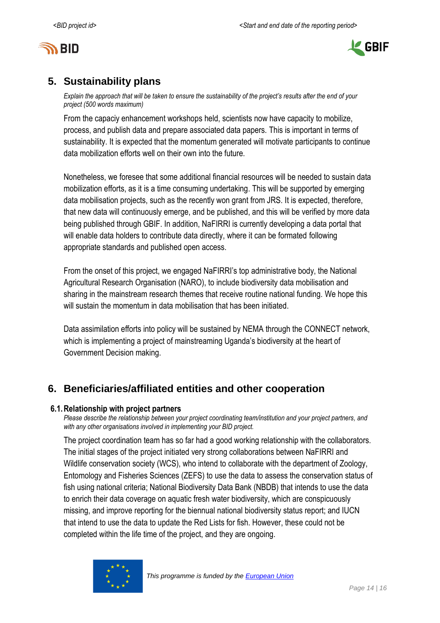



## <span id="page-13-0"></span>**5. Sustainability plans**

*Explain the approach that will be taken to ensure the sustainability of the project's results after the end of your project (500 words maximum)*

From the capaciy enhancement workshops held, scientists now have capacity to mobilize, process, and publish data and prepare associated data papers. This is important in terms of sustainability. It is expected that the momentum generated will motivate participants to continue data mobilization efforts well on their own into the future.

Nonetheless, we foresee that some additional financial resources will be needed to sustain data mobilization efforts, as it is a time consuming undertaking. This will be supported by emerging data mobilisation projects, such as the recently won grant from JRS. It is expected, therefore, that new data will continuously emerge, and be published, and this will be verified by more data being published through GBIF. In addition, NaFIRRI is currently developing a data portal that will enable data holders to contribute data directly, where it can be formated following appropriate standards and published open access.

From the onset of this project, we engaged NaFIRRI's top administrative body, the National Agricultural Research Organisation (NARO), to include biodiversity data mobilisation and sharing in the mainstream research themes that receive routine national funding. We hope this will sustain the momentum in data mobilisation that has been initiated.

Data assimilation efforts into policy will be sustained by NEMA through the CONNECT network, which is implementing a project of mainstreaming Uganda's biodiversity at the heart of Government Decision making.

## <span id="page-13-1"></span>**6. Beneficiaries/affiliated entities and other cooperation**

### **6.1.Relationship with project partners**

*Please describe the relationship between your project coordinating team/institution and your project partners, and with any other organisations involved in implementing your BID project.*

The project coordination team has so far had a good working relationship with the collaborators. The initial stages of the project initiated very strong collaborations between NaFIRRI and Wildlife conservation society (WCS), who intend to collaborate with the department of Zoology, Entomology and Fisheries Sciences (ZEFS) to use the data to assess the conservation status of fish using national criteria; National Biodiversity Data Bank (NBDB) that intends to use the data to enrich their data coverage on aquatic fresh water biodiversity, which are conspicuously missing, and improve reporting for the biennual national biodiversity status report; and IUCN that intend to use the data to update the Red Lists for fish. However, these could not be completed within the life time of the project, and they are ongoing.

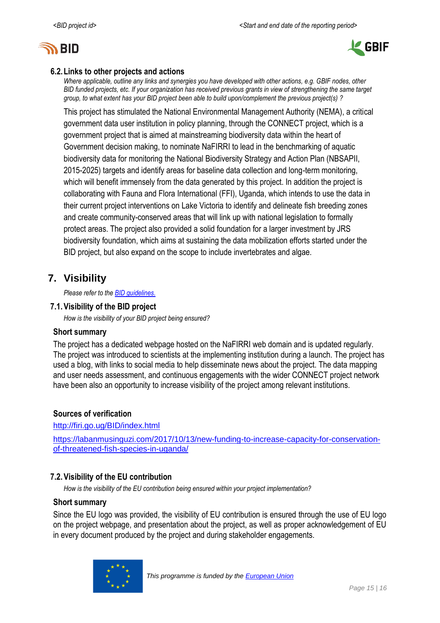



## **6.2.Links to other projects and actions**

*Where applicable, outline any links and synergies you have developed with other actions, e.g. GBIF nodes, other BID funded projects, etc. If your organization has received previous grants in view of strengthening the same target group, to what extent has your BID project been able to build upon/complement the previous project(s) ?*

This project has stimulated the National Environmental Management Authority (NEMA), a critical government data user institution in policy planning, through the CONNECT project, which is a government project that is aimed at mainstreaming biodiversity data within the heart of Government decision making, to nominate NaFIRRI to lead in the benchmarking of aquatic biodiversity data for monitoring the National Biodiversity Strategy and Action Plan (NBSAPII, 2015-2025) targets and identify areas for baseline data collection and long-term monitoring, which will benefit immensely from the data generated by this project. In addition the project is collaborating with Fauna and Flora International (FFI), Uganda, which intends to use the data in their current project interventions on Lake Victoria to identify and delineate fish breeding zones and create community-conserved areas that will link up with national legislation to formally protect areas. The project also provided a solid foundation for a larger investment by JRS biodiversity foundation, which aims at sustaining the data mobilization efforts started under the BID project, but also expand on the scope to include invertebrates and algae.

## <span id="page-14-0"></span>**7. Visibility**

*Please refer to th[e BID guidelines.](http://bid.gbif.org/en/community/communication-guidelines/)*

## **7.1.Visibility of the BID project**

*How is the visibility of your BID project being ensured?*

### **Short summary**

The project has a dedicated webpage hosted on the NaFIRRI web domain and is updated regularly. The project was introduced to scientists at the implementing institution during a launch. The project has used a blog, with links to social media to help disseminate news about the project. The data mapping and user needs assessment, and continuous engagements with the wider CONNECT project network have been also an opportunity to increase visibility of the project among relevant institutions.

## **Sources of verification**

<http://firi.go.ug/BID/index.html>

[https://labanmusinguzi.com/2017/10/13/new-funding-to-increase-capacity-for-conservation](https://labanmusinguzi.com/2017/10/13/new-funding-to-increase-capacity-for-conservation-of-threatened-fish-species-in-uganda/)[of-threatened-fish-species-in-uganda/](https://labanmusinguzi.com/2017/10/13/new-funding-to-increase-capacity-for-conservation-of-threatened-fish-species-in-uganda/)

## **7.2.Visibility of the EU contribution**

*How is the visibility of the EU contribution being ensured within your project implementation?*

## **Short summary**

Since the EU logo was provided, the visibility of EU contribution is ensured through the use of EU logo on the project webpage, and presentation about the project, as well as proper acknowledgement of EU in every document produced by the project and during stakeholder engagements.